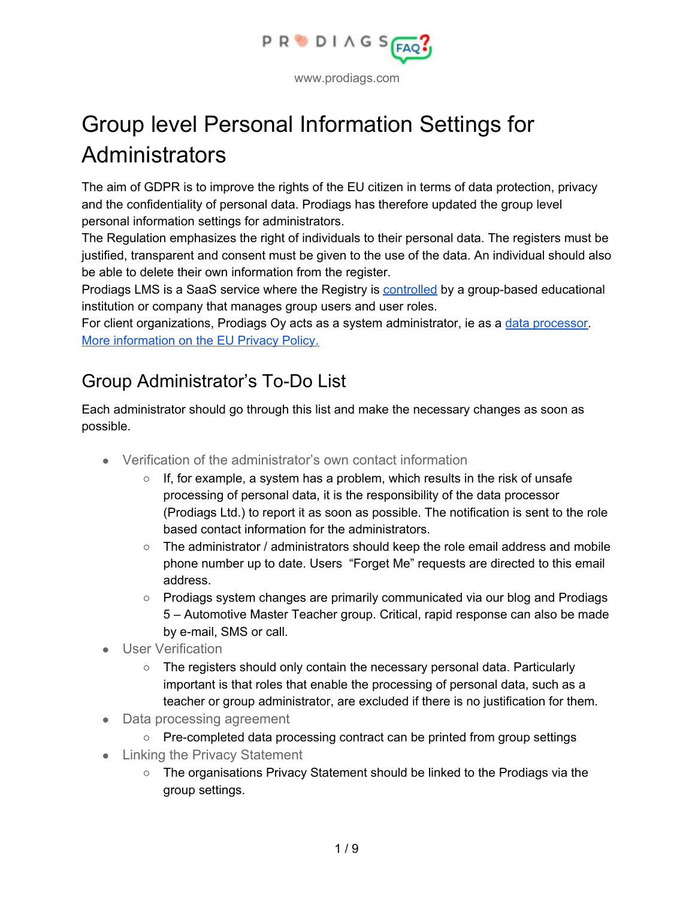

# Group level Personal Information Settings for Administrators

The aim of GDPR is to improve the rights of the EU citizen in terms of data protection, privacy and the confidentiality of personal data. Prodiags has therefore updated the group level personal information settings for administrators.

The Regulation emphasizes the right of individuals to their personal data. The registers must be justified, transparent and consent must be given to the use of the data. An individual should also be able to delete their own information from the register.

Prodiags LMS is a SaaS service where the Registry is [controlled](https://tietosuoja.fi/en/processing-of-personal-data) by a group-based educational institution or company that manages group users and user roles.

For client organizations, Prodiags Oy acts as a system administrator, ie as a data [processor.](https://tietosuoja.fi/en/processing-of-personal-data) More [information](https://eur-lex.europa.eu/legal-content/EN/TXT/?qid=1528874672298&uri=CELEX%3A32016R0679) on the EU Privacy Policy.

# Group Administrator's To-Do List

Each administrator should go through this list and make the necessary changes as soon as possible.

- Verification of the administrator's own contact information
	- $\circ$  If, for example, a system has a problem, which results in the risk of unsafe processing of personal data, it is the responsibility of the data processor (Prodiags Ltd.) to report it as soon as possible. The notification is sent to the role based contact information for the administrators.
	- The administrator / administrators should keep the role email address and mobile phone number up to date. Users "Forget Me" requests are directed to this email address.
	- Prodiags system changes are primarily communicated via our blog and Prodiags 5 – Automotive Master Teacher group. Critical, rapid response can also be made by e-mail, SMS or call.
- **User Verification** 
	- $\circ$  The registers should only contain the necessary personal data. Particularly important is that roles that enable the processing of personal data, such as a teacher or group administrator, are excluded if there is no justification for them.
- Data processing agreement
	- Pre-completed data processing contract can be printed from group settings
- Linking the Privacy Statement
	- The organisations Privacy Statement should be linked to the Prodiags via the group settings.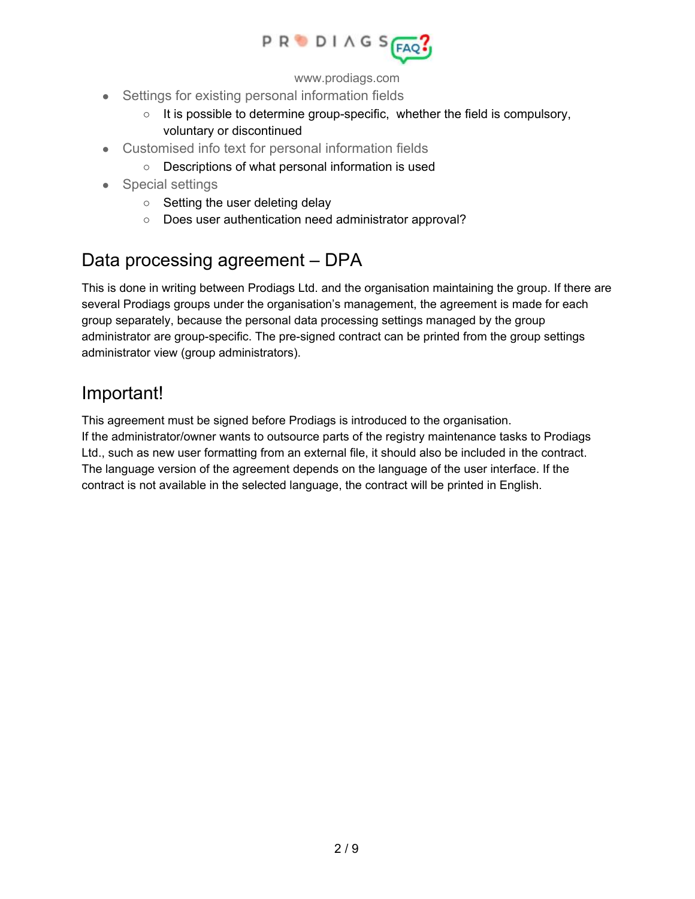

- Settings for existing personal information fields
	- $\circ$  It is possible to determine group-specific, whether the field is compulsory, voluntary or discontinued
- Customised info text for personal information fields
	- Descriptions of what personal information is used
- Special settings
	- Setting the user deleting delay
	- Does user authentication need administrator approval?

#### Data processing agreement – DPA

This is done in writing between Prodiags Ltd. and the organisation maintaining the group. If there are several Prodiags groups under the organisation's management, the agreement is made for each group separately, because the personal data processing settings managed by the group administrator are group-specific. The pre-signed contract can be printed from the group settings administrator view (group administrators).

#### Important!

This agreement must be signed before Prodiags is introduced to the organisation. If the administrator/owner wants to outsource parts of the registry maintenance tasks to Prodiags Ltd., such as new user formatting from an external file, it should also be included in the contract. The language version of the agreement depends on the language of the user interface. If the contract is not available in the selected language, the contract will be printed in English.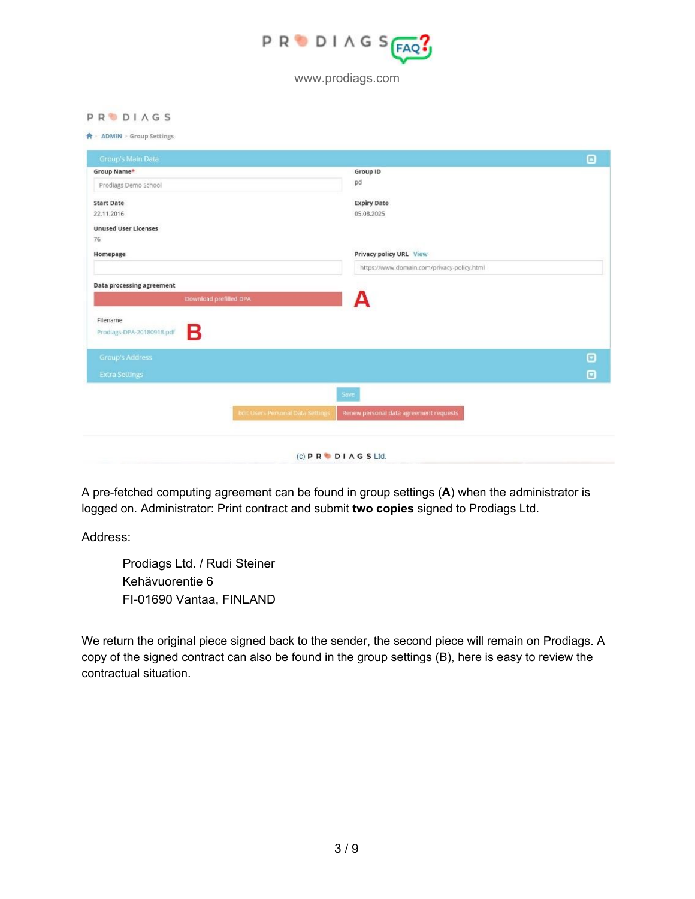

#### **PRODIAGS**

#### **A** ADMIN > Group Settings

| Group's Main Data                          |                                          |                                            | Θ                     |
|--------------------------------------------|------------------------------------------|--------------------------------------------|-----------------------|
| Group Name*                                |                                          | Group ID                                   |                       |
| Prodiags Demo School                       |                                          | pd                                         |                       |
| <b>Start Date</b>                          |                                          | <b>Expiry Date</b>                         |                       |
| 22.11.2016                                 |                                          | 05.08.2025                                 |                       |
| <b>Unused User Licenses</b>                |                                          |                                            |                       |
| 76                                         |                                          |                                            |                       |
| Homepage                                   |                                          | Privacy policy URL View                    |                       |
|                                            |                                          | https://www.domain.com/privacy-policy.html |                       |
| Data processing agreement                  |                                          |                                            |                       |
| Download prefilled DPA                     |                                          |                                            |                       |
| Filename<br>Β<br>Prodiags-DPA-20180918.pdf |                                          |                                            |                       |
| <b>Group's Address</b>                     |                                          |                                            | $\bm{\Theta}$         |
| <b>Extra Settings</b>                      |                                          |                                            | $\boldsymbol{\Theta}$ |
|                                            |                                          | Save                                       |                       |
|                                            | <b>Edit Users Personal Data Settings</b> | Renew personal data agreement requests     |                       |
|                                            |                                          |                                            |                       |
|                                            |                                          | $(C)$ P R $\bullet$ D I A G S Ltd.         |                       |

A pre-fetched computing agreement can be found in group settings (**A**) when the administrator is logged on. Administrator: Print contract and submit **two copies** signed to Prodiags Ltd.

Address:

Prodiags Ltd. / Rudi Steiner Kehävuorentie 6 FI-01690 Vantaa, FINLAND

We return the original piece signed back to the sender, the second piece will remain on Prodiags. A copy of the signed contract can also be found in the group settings (B), here is easy to review the contractual situation.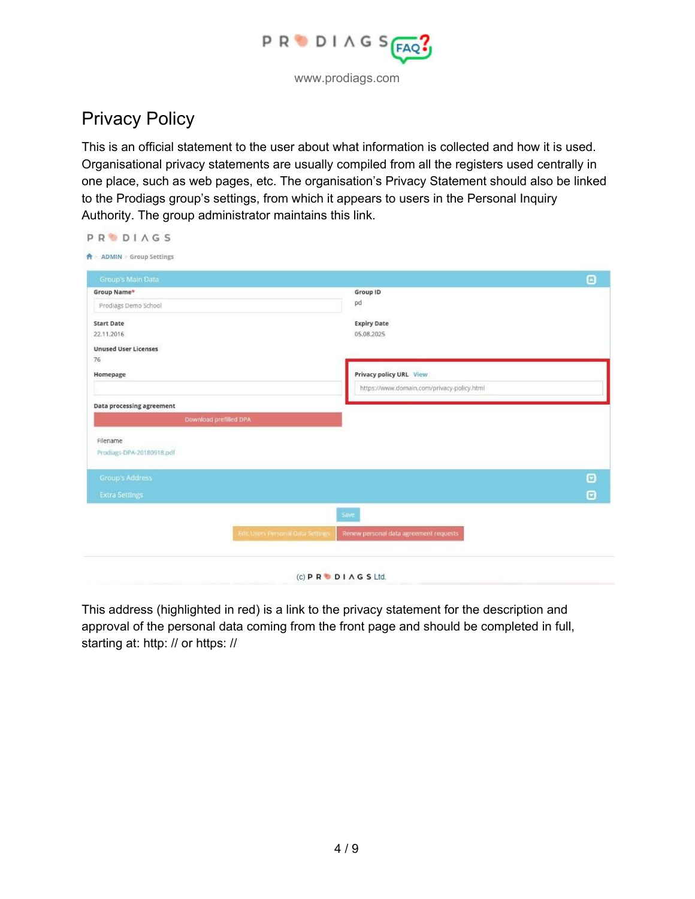

# Privacy Policy

This is an official statement to the user about what information is collected and how it is used. Organisational privacy statements are usually compiled from all the registers used centrally in one place, such as web pages, etc. The organisation's Privacy Statement should also be linked to the Prodiags group's settings, from which it appears to users in the Personal Inquiry Authority. The group administrator maintains this link.

| Group's Main Data           |                                          |                                            | $\boldsymbol{\Theta}$ |
|-----------------------------|------------------------------------------|--------------------------------------------|-----------------------|
| Group Name*                 |                                          | Group ID                                   |                       |
| Prodiags Demo School        |                                          | pd                                         |                       |
| <b>Start Date</b>           |                                          | <b>Expiry Date</b>                         |                       |
| 22.11.2016                  |                                          | 05.08.2025                                 |                       |
| <b>Unused User Licenses</b> |                                          |                                            |                       |
| 76                          |                                          |                                            |                       |
| Homepage                    |                                          | Privacy policy URL View                    |                       |
|                             |                                          | https://www.domain.com/privacy-policy.html |                       |
| Data processing agreement   |                                          |                                            |                       |
|                             | Download prefilled DPA                   |                                            |                       |
| Filename                    |                                          |                                            |                       |
| Prodiags-DPA-20180918.pdf   |                                          |                                            |                       |
|                             |                                          |                                            |                       |
| <b>Group's Address</b>      |                                          |                                            | $\boldsymbol{\Theta}$ |
| <b>Extra Settings</b>       |                                          |                                            | $\boldsymbol{\Theta}$ |
|                             |                                          | Save                                       |                       |
|                             | <b>Edit Users Personal Data Settings</b> | Renew personal data agreement requests     |                       |

This address (highlighted in red) is a link to the privacy statement for the description and approval of the personal data coming from the front page and should be completed in full, starting at: http: // or https: //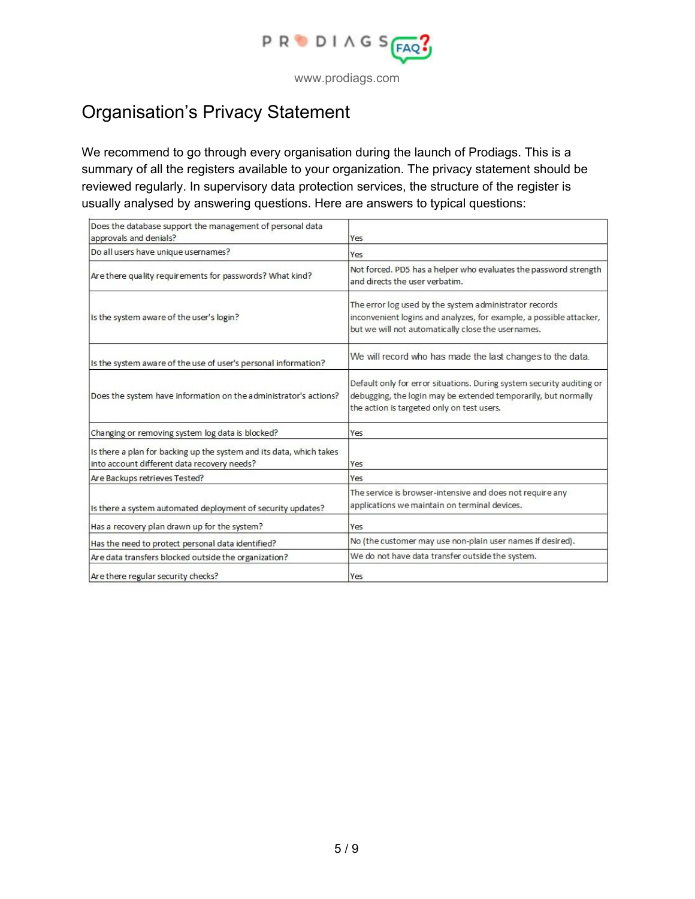

#### Organisation's Privacy Statement

We recommend to go through every organisation during the launch of Prodiags. This is a summary of all the registers available to your organization. The privacy statement should be reviewed regularly. In supervisory data protection services, the structure of the register is usually analysed by answering questions. Here are answers to typical questions:

| Does the database support the management of personal data<br>approvals and denials?                                | Yes                                                                                                                                                                                   |
|--------------------------------------------------------------------------------------------------------------------|---------------------------------------------------------------------------------------------------------------------------------------------------------------------------------------|
| Do all users have unique usernames?                                                                                | Yes                                                                                                                                                                                   |
| Are there quality requirements for passwords? What kind?                                                           | Not forced. PD5 has a helper who evaluates the password strength<br>and directs the user verbatim.                                                                                    |
| Is the system aware of the user's login?                                                                           | The error log used by the system administrator records<br>inconvenient logins and analyzes, for example, a possible attacker,<br>but we will not automatically close the usernames.   |
| Is the system aware of the use of user's personal information?                                                     | We will record who has made the last changes to the data.                                                                                                                             |
| Does the system have information on the administrator's actions?                                                   | Default only for error situations. During system security auditing or<br>debugging, the login may be extended temporarily, but normally<br>the action is targeted only on test users. |
| Changing or removing system log data is blocked?                                                                   | Yes                                                                                                                                                                                   |
| Is there a plan for backing up the system and its data, which takes<br>into account different data recovery needs? | Yes                                                                                                                                                                                   |
| Are Backups retrieves Tested?                                                                                      | Yes                                                                                                                                                                                   |
| Is there a system automated deployment of security updates?                                                        | The service is browser-intensive and does not require any<br>applications we maintain on terminal devices.                                                                            |
| Has a recovery plan drawn up for the system?                                                                       | Yes                                                                                                                                                                                   |
| Has the need to protect personal data identified?                                                                  | No (the customer may use non-plain user names if desired).                                                                                                                            |
| Are data transfers blocked outside the organization?                                                               | We do not have data transfer outside the system.                                                                                                                                      |
| Are there regular security checks?                                                                                 | Yes                                                                                                                                                                                   |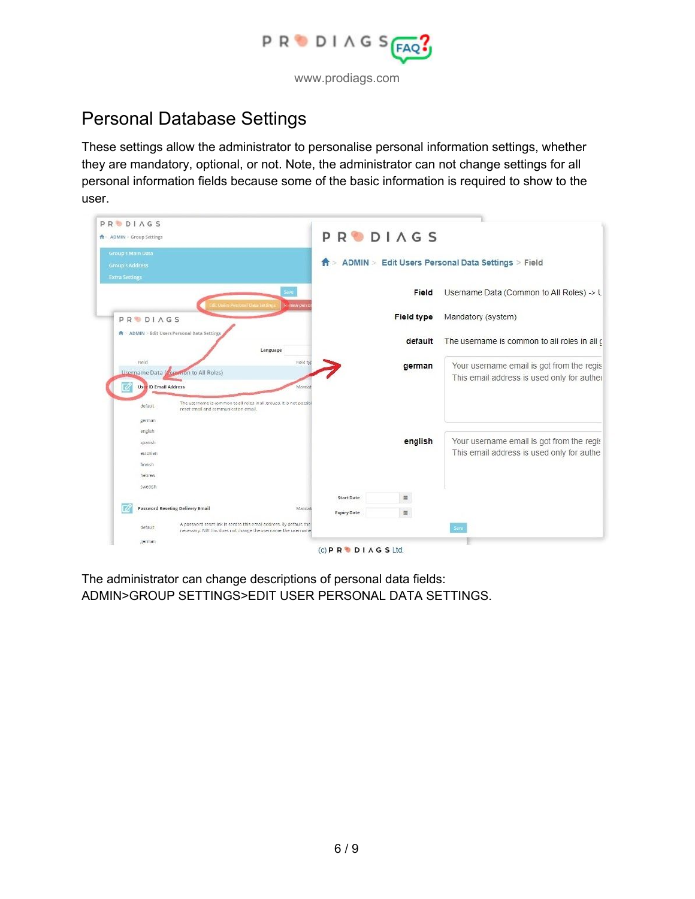

### Personal Database Settings

These settings allow the administrator to personalise personal information settings, whether they are mandatory, optional, or not. Note, the administrator can not change settings for all personal information fields because some of the basic information is required to show to the user.

| <b>PRODIAGS</b><br><b>ADMIN</b> > Group Settings                                                                                                  | PRODIAGS                      |            |                                                                                         |
|---------------------------------------------------------------------------------------------------------------------------------------------------|-------------------------------|------------|-----------------------------------------------------------------------------------------|
| <b>Group's Main Data</b><br><b>Group's Address</b><br><b>Extra Settings</b>                                                                       |                               |            | > ADMIN > Edit Users Personal Data Settings > Field                                     |
|                                                                                                                                                   | Seve                          | Field      | Username Data (Common to All Roles) -> L                                                |
| L Users Personal Data Setti<br><b>PRODIAGS</b>                                                                                                    | <b>Kistew pers</b>            | Field type | Mandatory (system)                                                                      |
| A ADMIN > Edit Users Personal Data Settings                                                                                                       | Language                      | default    | The username is common to all roles in all o                                            |
| Field<br><b>Username Data (Common to All Roles)</b><br><b>User ID Email Address</b>                                                               | Field typ<br>Manclat          | german     | Your username email is got from the regis<br>This email address is used only for auther |
| The username is common to all roles in all groups. It is not possibl<br>default.<br>reset email and communication email.<br>german                |                               |            |                                                                                         |
| english<br>spanish<br>estonian                                                                                                                    |                               | english    | Your username email is got from the regis<br>This email address is used only for authe  |
| finnish<br>hebrew                                                                                                                                 |                               |            |                                                                                         |
| swedish                                                                                                                                           | Start Date                    | 显          |                                                                                         |
| Password Reseting Delivery Email                                                                                                                  | Mandati<br><b>Expiry Date</b> | $\equiv$   |                                                                                         |
| A password reset link is sent to this email address. By default, the<br>default<br>necessary. NBI this does not change the username, the username |                               |            | Save                                                                                    |
| german                                                                                                                                            |                               |            |                                                                                         |

The administrator can change descriptions of personal data fields: ADMIN>GROUP SETTINGS>EDIT USER PERSONAL DATA SETTINGS.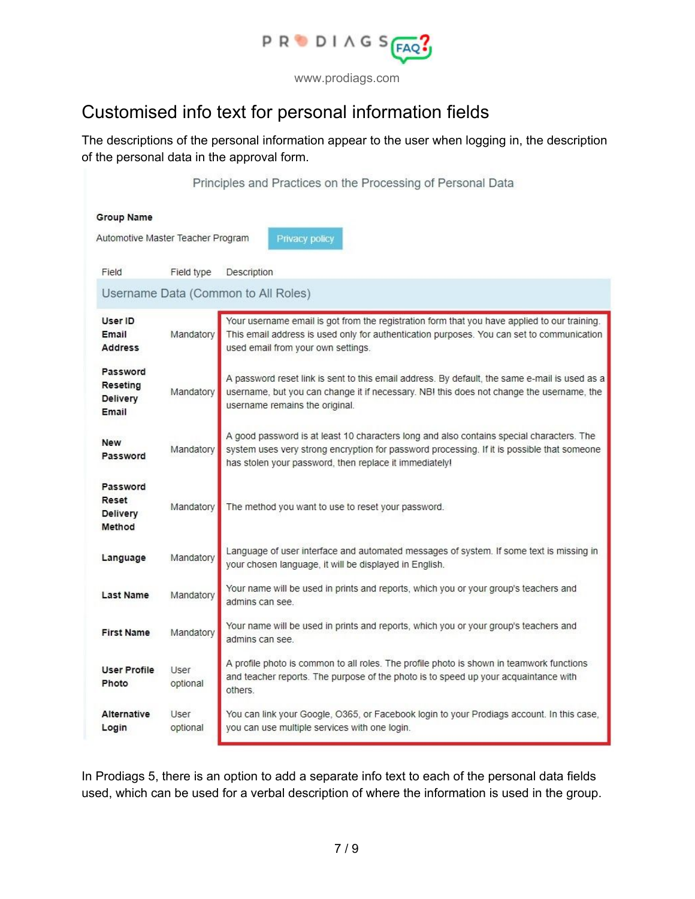

### Customised info text for personal information fields

The descriptions of the personal information appear to the user when logging in, the description of the personal data in the approval form.

|                                     |            | Principles and Practices on the Processing of Personal Data                                                                                                                               |  |  |
|-------------------------------------|------------|-------------------------------------------------------------------------------------------------------------------------------------------------------------------------------------------|--|--|
| Group Name                          |            |                                                                                                                                                                                           |  |  |
| Automotive Master Teacher Program   |            | Privacy policy                                                                                                                                                                            |  |  |
|                                     |            |                                                                                                                                                                                           |  |  |
| Field                               | Field type | Description                                                                                                                                                                               |  |  |
| Username Data (Common to All Roles) |            |                                                                                                                                                                                           |  |  |
| User ID                             |            | Your username email is got from the registration form that you have applied to our training.                                                                                              |  |  |
| Email<br><b>Address</b>             | Mandatory  | This email address is used only for authentication purposes. You can set to communication<br>used email from your own settings.                                                           |  |  |
| Password                            |            |                                                                                                                                                                                           |  |  |
| Reseting<br>Delivery                | Mandatory  | A password reset link is sent to this email address. By default, the same e-mail is used as a<br>username, but you can change it if necessary. NB! this does not change the username, the |  |  |
| Email                               |            | username remains the original.                                                                                                                                                            |  |  |
| <b>New</b>                          |            | A good password is at least 10 characters long and also contains special characters. The                                                                                                  |  |  |
| Password                            | Mandatory  | system uses very strong encryption for password processing. If it is possible that someone<br>has stolen your password, then replace it immediately!                                      |  |  |
| Password                            |            |                                                                                                                                                                                           |  |  |
| Reset                               | Mandatory  | The method you want to use to reset your password.                                                                                                                                        |  |  |
| Delivery<br>Method                  |            |                                                                                                                                                                                           |  |  |
|                                     |            | Language of user interface and automated messages of system. If some text is missing in                                                                                                   |  |  |
| Language                            | Mandatory  | your chosen language, it will be displayed in English.                                                                                                                                    |  |  |
| Last Name                           | Mandatory  | Your name will be used in prints and reports, which you or your group's teachers and                                                                                                      |  |  |
|                                     |            | admins can see.                                                                                                                                                                           |  |  |
| <b>First Name</b>                   | Mandatory  | Your name will be used in prints and reports, which you or your group's teachers and<br>admins can see.                                                                                   |  |  |
|                                     |            |                                                                                                                                                                                           |  |  |
| <b>User Profile</b><br>Photo        | User       | A profile photo is common to all roles. The profile photo is shown in teamwork functions<br>and teacher reports. The purpose of the photo is to speed up your acquaintance with           |  |  |
|                                     | optional   | others.                                                                                                                                                                                   |  |  |
| Alternative                         | User       | You can link your Google, O365, or Facebook login to your Prodiags account. In this case,                                                                                                 |  |  |
| Login                               | optional   | you can use multiple services with one login.                                                                                                                                             |  |  |

In Prodiags 5, there is an option to add a separate info text to each of the personal data fields used, which can be used for a verbal description of where the information is used in the group.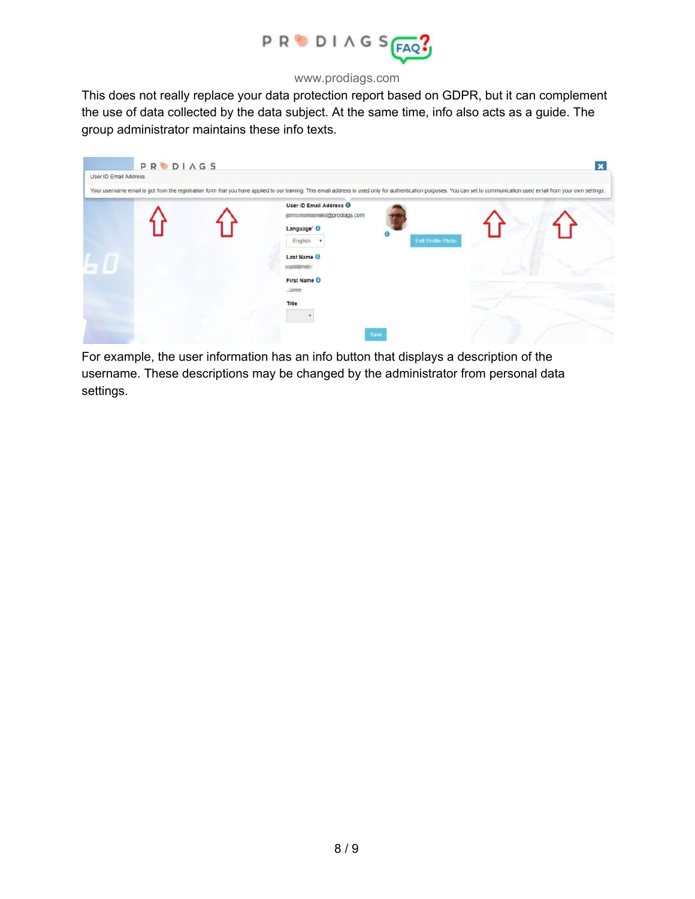

This does not really replace your data protection report based on GDPR, but it can complement the use of data collected by the data subject. At the same time, info also acts as a guide. The group administrator maintains these info texts.



For example, the user information has an info button that displays a description of the username. These descriptions may be changed by the administrator from personal data settings.